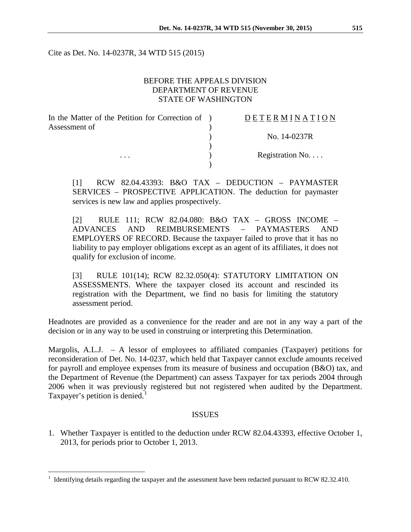Cite as Det. No. 14-0237R, 34 WTD 515 (2015)

## BEFORE THE APPEALS DIVISION DEPARTMENT OF REVENUE STATE OF WASHINGTON

| In the Matter of the Petition for Correction of ) | <b>DETERMINATION</b>     |
|---------------------------------------------------|--------------------------|
| Assessment of                                     |                          |
|                                                   | No. 14-0237R             |
|                                                   |                          |
| $\cdots$                                          | Registration No. $\dots$ |
|                                                   |                          |

[1] RCW 82.04.43393: B&O TAX – DEDUCTION – PAYMASTER SERVICES – PROSPECTIVE APPLICATION. The deduction for paymaster services is new law and applies prospectively.

[2] RULE 111; RCW 82.04.080: B&O TAX – GROSS INCOME – ADVANCES AND REIMBURSEMENTS – PAYMASTERS AND EMPLOYERS OF RECORD. Because the taxpayer failed to prove that it has no liability to pay employer obligations except as an agent of its affiliates, it does not qualify for exclusion of income.

[3] RULE 101(14); RCW 82.32.050(4): STATUTORY LIMITATION ON ASSESSMENTS. Where the taxpayer closed its account and rescinded its registration with the Department, we find no basis for limiting the statutory assessment period.

Headnotes are provided as a convenience for the reader and are not in any way a part of the decision or in any way to be used in construing or interpreting this Determination.

Margolis, A.L.J. – A lessor of employees to affiliated companies (Taxpayer) petitions for reconsideration of Det. No. 14-0237, which held that Taxpayer cannot exclude amounts received for payroll and employee expenses from its measure of business and occupation (B&O) tax, and the Department of Revenue (the Department) can assess Taxpayer for tax periods 2004 through 2006 when it was previously registered but not registered when audited by the Department. Taxpayer's petition is denied.<sup>[1](#page-0-0)</sup>

## ISSUES

1. Whether Taxpayer is entitled to the deduction under RCW 82.04.43393, effective October 1, 2013, for periods prior to October 1, 2013.

<span id="page-0-0"></span> <sup>1</sup> Identifying details regarding the taxpayer and the assessment have been redacted pursuant to RCW 82.32.410.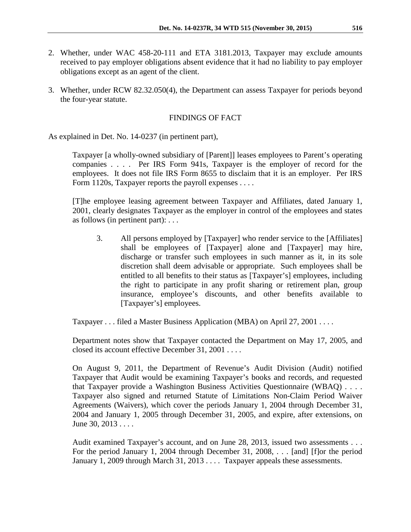- 2. Whether, under WAC 458-20-111 and ETA 3181.2013, Taxpayer may exclude amounts received to pay employer obligations absent evidence that it had no liability to pay employer obligations except as an agent of the client.
- 3. Whether, under RCW 82.32.050(4), the Department can assess Taxpayer for periods beyond the four-year statute.

## FINDINGS OF FACT

As explained in Det. No. 14-0237 (in pertinent part),

Taxpayer [a wholly-owned subsidiary of [Parent]] leases employees to Parent's operating companies . . . . Per IRS Form 941s, Taxpayer is the employer of record for the employees. It does not file IRS Form 8655 to disclaim that it is an employer. Per IRS Form 1120s, Taxpayer reports the payroll expenses . . . .

[T]he employee leasing agreement between Taxpayer and Affiliates, dated January 1, 2001, clearly designates Taxpayer as the employer in control of the employees and states as follows (in pertinent part): . . .

3. All persons employed by [Taxpayer] who render service to the [Affiliates] shall be employees of [Taxpayer] alone and [Taxpayer] may hire, discharge or transfer such employees in such manner as it, in its sole discretion shall deem advisable or appropriate. Such employees shall be entitled to all benefits to their status as [Taxpayer's] employees, including the right to participate in any profit sharing or retirement plan, group insurance, employee's discounts, and other benefits available to [Taxpayer's] employees.

Taxpayer . . . filed a Master Business Application (MBA) on April 27, 2001 . . . .

Department notes show that Taxpayer contacted the Department on May 17, 2005, and closed its account effective December 31, 2001 . . . .

On August 9, 2011, the Department of Revenue's Audit Division (Audit) notified Taxpayer that Audit would be examining Taxpayer's books and records, and requested that Taxpayer provide a Washington Business Activities Questionnaire (WBAQ) . . . . Taxpayer also signed and returned Statute of Limitations Non-Claim Period Waiver Agreements (Waivers), which cover the periods January 1, 2004 through December 31, 2004 and January 1, 2005 through December 31, 2005, and expire, after extensions, on June 30, 2013 . . . .

Audit examined Taxpayer's account, and on June 28, 2013, issued two assessments . . . For the period January 1, 2004 through December 31, 2008, . . . [and] [f]or the period January 1, 2009 through March 31, 2013 . . . . Taxpayer appeals these assessments.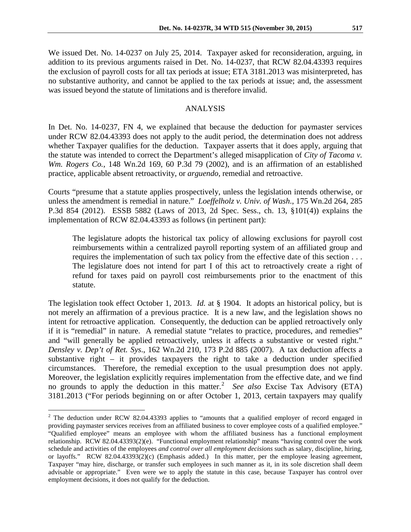We issued Det. No. 14-0237 on July 25, 2014. Taxpayer asked for reconsideration, arguing, in addition to its previous arguments raised in Det. No. 14-0237, that RCW 82.04.43393 requires the exclusion of payroll costs for all tax periods at issue; ETA 3181.2013 was misinterpreted, has no substantive authority, and cannot be applied to the tax periods at issue; and, the assessment was issued beyond the statute of limitations and is therefore invalid.

#### ANALYSIS

In Det. No. 14-0237, FN 4, we explained that because the deduction for paymaster services under RCW 82.04.43393 does not apply to the audit period, the determination does not address whether Taxpayer qualifies for the deduction. Taxpayer asserts that it does apply, arguing that the statute was intended to correct the Department's alleged misapplication of *City of Tacoma v. Wm. Rogers Co.*, 148 Wn.2d 169, 60 P.3d 79 (2002), and is an affirmation of an established practice, applicable absent retroactivity, or *arguendo*, remedial and retroactive.

Courts "presume that a statute applies prospectively, unless the legislation intends otherwise, or unless the amendment is remedial in nature." *Loeffelholz v. Univ. of Wash*., 175 Wn.2d 264, 285 P.3d 854 (2012). ESSB 5882 (Laws of 2013, 2d Spec. Sess., ch. 13, §101(4)) explains the implementation of RCW 82.04.43393 as follows (in pertinent part):

The legislature adopts the historical tax policy of allowing exclusions for payroll cost reimbursements within a centralized payroll reporting system of an affiliated group and requires the implementation of such tax policy from the effective date of this section . . . The legislature does not intend for part I of this act to retroactively create a right of refund for taxes paid on payroll cost reimbursements prior to the enactment of this statute.

The legislation took effect October 1, 2013. *Id.* at § 1904. It adopts an historical policy, but is not merely an affirmation of a previous practice. It is a new law, and the legislation shows no intent for retroactive application. Consequently, the deduction can be applied retroactively only if it is "remedial" in nature. A remedial statute "relates to practice, procedures, and remedies" and "will generally be applied retroactively, unless it affects a substantive or vested right." *Densley v. Dep't of Ret. Sys*., 162 Wn.2d 210, 173 P.2d 885 (2007). A tax deduction affects a substantive right – it provides taxpayers the right to take a deduction under specified circumstances. Therefore, the remedial exception to the usual presumption does not apply. Moreover, the legislation explicitly requires implementation from the effective date, and we find no grounds to apply the deduction in this matter.<sup>[2](#page-2-0)</sup> See also Excise Tax Advisory (ETA) 3181.2013 ("For periods beginning on or after October 1, 2013, certain taxpayers may qualify

<span id="page-2-0"></span><sup>&</sup>lt;sup>2</sup> The deduction under RCW 82.04.43393 applies to "amounts that a qualified employer of record engaged in providing paymaster services receives from an affiliated business to cover employee costs of a qualified employee." "Qualified employee" means an employee with whom the affiliated business has a functional employment relationship. RCW 82.04.43393(2)(e). "Functional employment relationship" means "having control over the work schedule and activities of the employees *and control over all employment decisions* such as salary, discipline, hiring, or layoffs." RCW 82.04.43393(2)(c) (Emphasis added.) In this matter, per the employee leasing agreement, Taxpayer "may hire, discharge, or transfer such employees in such manner as it, in its sole discretion shall deem advisable or appropriate." Even were we to apply the statute in this case, because Taxpayer has control over employment decisions, it does not qualify for the deduction.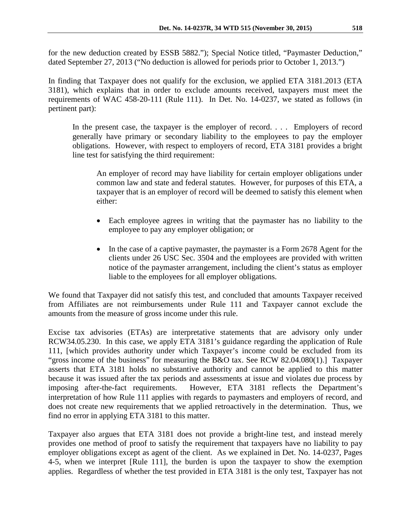for the new deduction created by ESSB 5882."); Special Notice titled, "Paymaster Deduction," dated September 27, 2013 ("No deduction is allowed for periods prior to October 1, 2013.")

In finding that Taxpayer does not qualify for the exclusion, we applied ETA 3181.2013 (ETA 3181), which explains that in order to exclude amounts received, taxpayers must meet the requirements of WAC 458-20-111 (Rule 111). In Det. No. 14-0237, we stated as follows (in pertinent part):

In the present case, the taxpayer is the employer of record. . . . Employers of record generally have primary or secondary liability to the employees to pay the employer obligations. However, with respect to employers of record, ETA 3181 provides a bright line test for satisfying the third requirement:

An employer of record may have liability for certain employer obligations under common law and state and federal statutes. However, for purposes of this ETA, a taxpayer that is an employer of record will be deemed to satisfy this element when either:

- Each employee agrees in writing that the paymaster has no liability to the employee to pay any employer obligation; or
- In the case of a captive paymaster, the paymaster is a Form 2678 Agent for the clients under 26 USC Sec. 3504 and the employees are provided with written notice of the paymaster arrangement, including the client's status as employer liable to the employees for all employer obligations.

We found that Taxpayer did not satisfy this test, and concluded that amounts Taxpayer received from Affiliates are not reimbursements under Rule 111 and Taxpayer cannot exclude the amounts from the measure of gross income under this rule.

Excise tax advisories (ETAs) are interpretative statements that are advisory only under RCW34.05.230. In this case, we apply ETA 3181's guidance regarding the application of Rule 111, [which provides authority under which Taxpayer's income could be excluded from its "gross income of the business" for measuring the B&O tax. See RCW 82.04.080(1).] Taxpayer asserts that ETA 3181 holds no substantive authority and cannot be applied to this matter because it was issued after the tax periods and assessments at issue and violates due process by imposing after-the-fact requirements. However, ETA 3181 reflects the Department's interpretation of how Rule 111 applies with regards to paymasters and employers of record, and does not create new requirements that we applied retroactively in the determination. Thus, we find no error in applying ETA 3181 to this matter.

Taxpayer also argues that ETA 3181 does not provide a bright-line test, and instead merely provides one method of proof to satisfy the requirement that taxpayers have no liability to pay employer obligations except as agent of the client. As we explained in Det. No. 14-0237, Pages 4-5, when we interpret [Rule 111], the burden is upon the taxpayer to show the exemption applies. Regardless of whether the test provided in ETA 3181 is the only test, Taxpayer has not